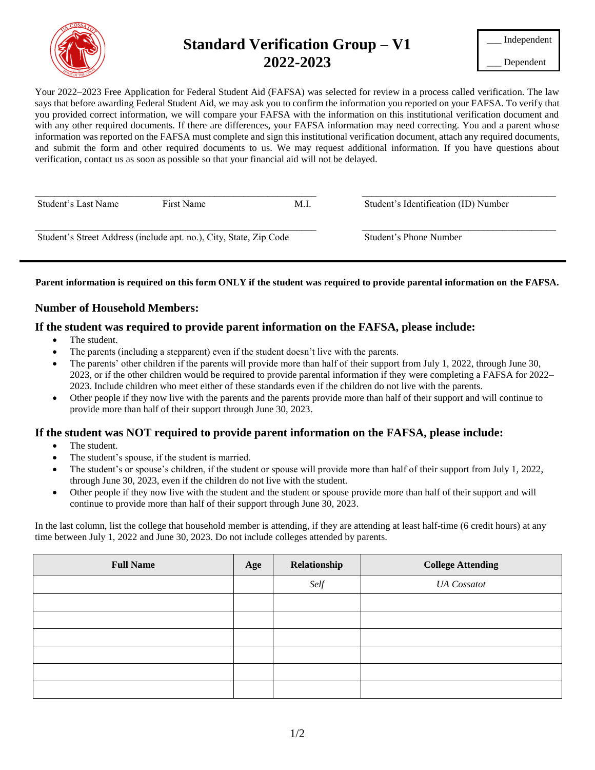

# **Standard Verification Group – V1 2022-2023**

\_\_\_ Dependent

Your 2022–2023 Free Application for Federal Student Aid (FAFSA) was selected for review in a process called verification. The law says that before awarding Federal Student Aid, we may ask you to confirm the information you reported on your FAFSA. To verify that you provided correct information, we will compare your FAFSA with the information on this institutional verification document and with any other required documents. If there are differences, your FAFSA information may need correcting. You and a parent whose information was reported on the FAFSA must complete and sign this institutional verification document, attach any required documents, and submit the form and other required documents to us. We may request additional information. If you have questions about verification, contact us as soon as possible so that your financial aid will not be delayed.

| Student's Last Name                                                | First Name | M.I. | Student's Identification (ID) Number |  |  |
|--------------------------------------------------------------------|------------|------|--------------------------------------|--|--|
| Student's Street Address (include apt. no.), City, State, Zip Code |            |      | Student's Phone Number               |  |  |

### **Parent information is required on this form ONLY if the student was required to provide parental information on the FAFSA.**

## **Number of Household Members:**

## **If the student was required to provide parent information on the FAFSA, please include:**

- The student.
- The parents (including a stepparent) even if the student doesn't live with the parents.
- The parents' other children if the parents will provide more than half of their support from July 1, 2022, through June 30, 2023, or if the other children would be required to provide parental information if they were completing a FAFSA for 2022– 2023. Include children who meet either of these standards even if the children do not live with the parents.
- Other people if they now live with the parents and the parents provide more than half of their support and will continue to provide more than half of their support through June 30, 2023.

### **If the student was NOT required to provide parent information on the FAFSA, please include:**

- The student.
- The student's spouse, if the student is married.
- The student's or spouse's children, if the student or spouse will provide more than half of their support from July 1, 2022, through June 30, 2023, even if the children do not live with the student.
- Other people if they now live with the student and the student or spouse provide more than half of their support and will continue to provide more than half of their support through June 30, 2023.

In the last column, list the college that household member is attending, if they are attending at least half-time (6 credit hours) at any time between July 1, 2022 and June 30, 2023. Do not include colleges attended by parents.

| <b>Full Name</b> | Age | Relationship | <b>College Attending</b> |
|------------------|-----|--------------|--------------------------|
|                  |     | Self         | <b>UA</b> Cossatot       |
|                  |     |              |                          |
|                  |     |              |                          |
|                  |     |              |                          |
|                  |     |              |                          |
|                  |     |              |                          |
|                  |     |              |                          |